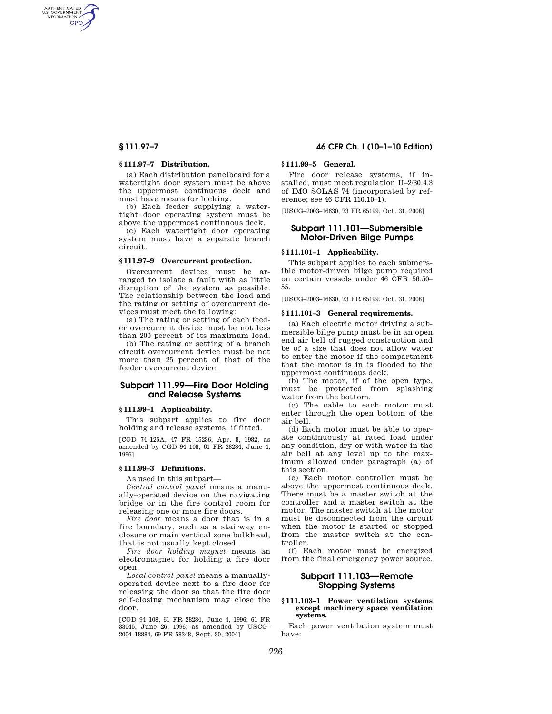AUTHENTICATED<br>U.S. GOVERNMENT<br>INFORMATION **GPO** 

## **§ 111.97–7 Distribution.**

(a) Each distribution panelboard for a watertight door system must be above the uppermost continuous deck and must have means for locking.

(b) Each feeder supplying a watertight door operating system must be above the uppermost continuous deck.

(c) Each watertight door operating system must have a separate branch circuit.

# **§ 111.97–9 Overcurrent protection.**

Overcurrent devices must be arranged to isolate a fault with as little disruption of the system as possible. The relationship between the load and the rating or setting of overcurrent devices must meet the following:

(a) The rating or setting of each feeder overcurrent device must be not less than 200 percent of its maximum load.

(b) The rating or setting of a branch circuit overcurrent device must be not more than 25 percent of that of the feeder overcurrent device.

# **Subpart 111.99—Fire Door Holding and Release Systems**

## **§ 111.99–1 Applicability.**

This subpart applies to fire door holding and release systems, if fitted.

[CGD 74–125A, 47 FR 15236, Apr. 8, 1982, as amended by CGD 94–108, 61 FR 28284, June 4, 1996]

#### **§ 111.99–3 Definitions.**

As used in this subpart—

*Central control panel* means a manually-operated device on the navigating bridge or in the fire control room for releasing one or more fire doors.

*Fire door* means a door that is in a fire boundary, such as a stairway enclosure or main vertical zone bulkhead, that is not usually kept closed.

*Fire door holding magnet* means an electromagnet for holding a fire door open.

*Local control panel* means a manuallyoperated device next to a fire door for releasing the door so that the fire door self-closing mechanism may close the door.

[CGD 94–108, 61 FR 28284, June 4, 1996; 61 FR 33045, June 26, 1996; as amended by USCG– 2004–18884, 69 FR 58348, Sept. 30, 2004]

# **§ 111.97–7 46 CFR Ch. I (10–1–10 Edition)**

# **§ 111.99–5 General.**

Fire door release systems, if installed, must meet regulation II–2/30.4.3 of IMO SOLAS 74 (incorporated by reference; see 46 CFR 110.10–1).

[USCG–2003–16630, 73 FR 65199, Oct. 31, 2008]

# **Subpart 111.101—Submersible Motor-Driven Bilge Pumps**

# **§ 111.101–1 Applicability.**

This subpart applies to each submersible motor-driven bilge pump required on certain vessels under 46 CFR 56.50– 55.

[USCG–2003–16630, 73 FR 65199, Oct. 31, 2008]

### **§ 111.101–3 General requirements.**

(a) Each electric motor driving a submersible bilge pump must be in an open end air bell of rugged construction and be of a size that does not allow water to enter the motor if the compartment that the motor is in is flooded to the uppermost continuous deck.

(b) The motor, if of the open type, must be protected from splashing water from the bottom.

(c) The cable to each motor must enter through the open bottom of the air bell.

(d) Each motor must be able to operate continuously at rated load under any condition, dry or with water in the air bell at any level up to the maximum allowed under paragraph (a) of this section.

(e) Each motor controller must be above the uppermost continuous deck. There must be a master switch at the controller and a master switch at the motor. The master switch at the motor must be disconnected from the circuit when the motor is started or stopped from the master switch at the controller.

(f) Each motor must be energized from the final emergency power source.

# **Subpart 111.103—Remote Stopping Systems**

# **§ 111.103–1 Power ventilation systems except machinery space ventilation systems.**

Each power ventilation system must have: